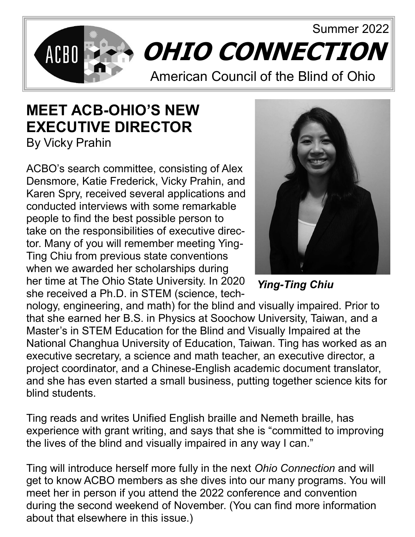

## **MEET ACB-OHIO'S NEW EXECUTIVE DIRECTOR**

By Vicky Prahin

ACBO's search committee, consisting of Alex Densmore, Katie Frederick, Vicky Prahin, and Karen Spry, received several applications and conducted interviews with some remarkable people to find the best possible person to take on the responsibilities of executive director. Many of you will remember meeting Ying-Ting Chiu from previous state conventions when we awarded her scholarships during her time at The Ohio State University. In 2020 she received a Ph.D. in STEM (science, tech-



*Ying-Ting Chiu*

nology, engineering, and math) for the blind and visually impaired. Prior to that she earned her B.S. in Physics at Soochow University, Taiwan, and a Master's in STEM Education for the Blind and Visually Impaired at the National Changhua University of Education, Taiwan. Ting has worked as an executive secretary, a science and math teacher, an executive director, a project coordinator, and a Chinese-English academic document translator, and she has even started a small business, putting together science kits for blind students.

Ting reads and writes Unified English braille and Nemeth braille, has experience with grant writing, and says that she is "committed to improving the lives of the blind and visually impaired in any way I can."

Ting will introduce herself more fully in the next *Ohio Connection* and will get to know ACBO members as she dives into our many programs. You will meet her in person if you attend the 2022 conference and convention during the second weekend of November. (You can find more information about that elsewhere in this issue.)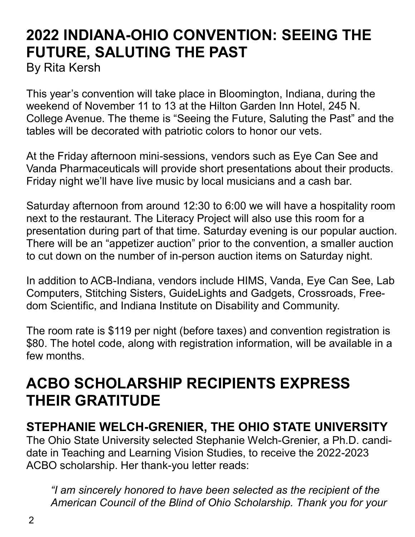# **2022 INDIANA-OHIO CONVENTION: SEEING THE FUTURE, SALUTING THE PAST**

By Rita Kersh

This year's convention will take place in Bloomington, Indiana, during the weekend of November 11 to 13 at the Hilton Garden Inn Hotel, 245 N. College Avenue. The theme is "Seeing the Future, Saluting the Past" and the tables will be decorated with patriotic colors to honor our vets.

At the Friday afternoon mini-sessions, vendors such as Eye Can See and Vanda Pharmaceuticals will provide short presentations about their products. Friday night we'll have live music by local musicians and a cash bar.

Saturday afternoon from around 12:30 to 6:00 we will have a hospitality room next to the restaurant. The Literacy Project will also use this room for a presentation during part of that time. Saturday evening is our popular auction. There will be an "appetizer auction" prior to the convention, a smaller auction to cut down on the number of in-person auction items on Saturday night.

In addition to ACB-Indiana, vendors include HIMS, Vanda, Eye Can See, Lab Computers, Stitching Sisters, GuideLights and Gadgets, Crossroads, Freedom Scientific, and Indiana Institute on Disability and Community.

The room rate is \$119 per night (before taxes) and convention registration is \$80. The hotel code, along with registration information, will be available in a few months.

## **ACBO SCHOLARSHIP RECIPIENTS EXPRESS THEIR GRATITUDE**

### **STEPHANIE WELCH-GRENIER, THE OHIO STATE UNIVERSITY**

The Ohio State University selected Stephanie Welch-Grenier, a Ph.D. candidate in Teaching and Learning Vision Studies, to receive the 2022-2023 ACBO scholarship. Her thank-you letter reads:

*"I am sincerely honored to have been selected as the recipient of the American Council of the Blind of Ohio Scholarship. Thank you for your*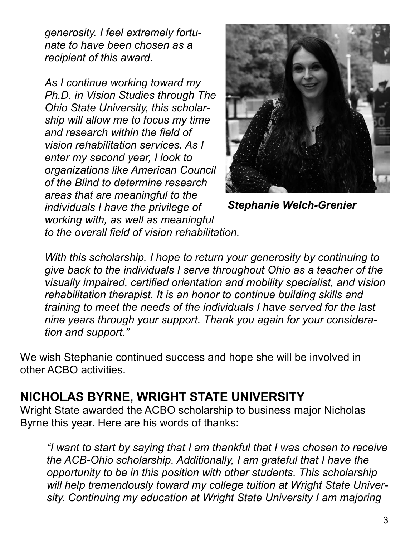*generosity. I feel extremely fortunate to have been chosen as a recipient of this award.* 

*As I continue working toward my Ph.D. in Vision Studies through The Ohio State University, this scholarship will allow me to focus my time and research within the field of vision rehabilitation services. As I enter my second year, I look to organizations like American Council of the Blind to determine research areas that are meaningful to the individuals I have the privilege of working with, as well as meaningful to the overall field of vision rehabilitation.* 



*Stephanie Welch-Grenier*

*With this scholarship, I hope to return your generosity by continuing to give back to the individuals I serve throughout Ohio as a teacher of the visually impaired, certified orientation and mobility specialist, and vision rehabilitation therapist. It is an honor to continue building skills and training to meet the needs of the individuals I have served for the last nine years through your support. Thank you again for your consideration and support."* 

We wish Stephanie continued success and hope she will be involved in other ACBO activities.

#### **NICHOLAS BYRNE, WRIGHT STATE UNIVERSITY**

Wright State awarded the ACBO scholarship to business major Nicholas Byrne this year. Here are his words of thanks:

*"I want to start by saying that I am thankful that I was chosen to receive the ACB-Ohio scholarship. Additionally, I am grateful that I have the opportunity to be in this position with other students. This scholarship will help tremendously toward my college tuition at Wright State University. Continuing my education at Wright State University I am majoring*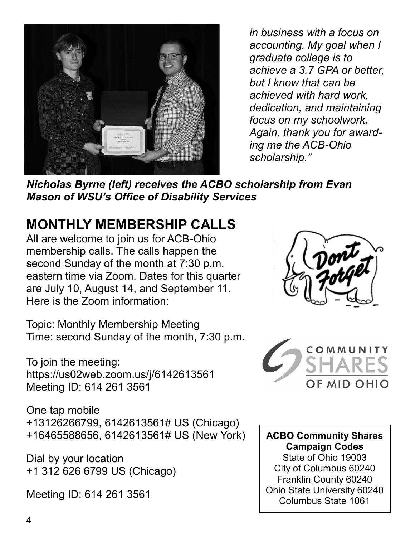

*in business with a focus on accounting. My goal when I graduate college is to achieve a 3.7 GPA or better, but I know that can be achieved with hard work, dedication, and maintaining focus on my schoolwork. Again, thank you for awarding me the ACB-Ohio scholarship."*

*Nicholas Byrne (left) receives the ACBO scholarship from Evan Mason of WSU's Office of Disability Services*

## **MONTHLY MEMBERSHIP CALLS**

All are welcome to join us for ACB-Ohio membership calls. The calls happen the second Sunday of the month at 7:30 p.m. eastern time via Zoom. Dates for this quarter are July 10, August 14, and September 11. Here is the Zoom information:

Topic: Monthly Membership Meeting Time: second Sunday of the month, 7:30 p.m.

To join the meeting: https://us02web.zoom.us/j/6142613561 Meeting ID: 614 261 3561

One tap mobile +13126266799, 6142613561# US (Chicago) +16465588656, 6142613561# US (New York)

Dial by your location +1 312 626 6799 US (Chicago)

Meeting ID: 614 261 3561





**ACBO Community Shares Campaign Codes** State of Ohio 19003 City of Columbus 60240 Franklin County 60240 Ohio State University 60240 Columbus State 1061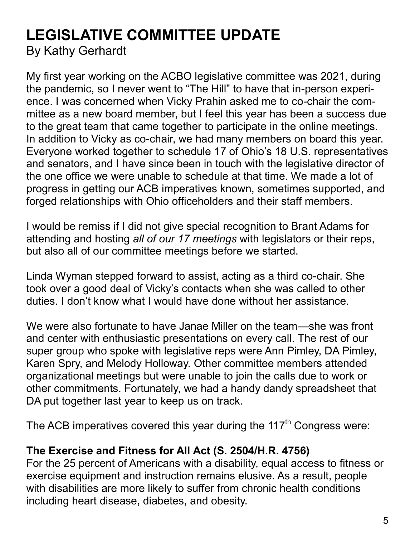### **LEGISLATIVE COMMITTEE UPDATE** By Kathy Gerhardt

My first year working on the ACBO legislative committee was 2021, during the pandemic, so I never went to "The Hill" to have that in-person experience. I was concerned when Vicky Prahin asked me to co-chair the committee as a new board member, but I feel this year has been a success due to the great team that came together to participate in the online meetings. In addition to Vicky as co-chair, we had many members on board this year. Everyone worked together to schedule 17 of Ohio's 18 U.S. representatives and senators, and I have since been in touch with the legislative director of the one office we were unable to schedule at that time. We made a lot of progress in getting our ACB imperatives known, sometimes supported, and forged relationships with Ohio officeholders and their staff members.

I would be remiss if I did not give special recognition to Brant Adams for attending and hosting *all of our 17 meetings* with legislators or their reps, but also all of our committee meetings before we started.

Linda Wyman stepped forward to assist, acting as a third co-chair. She took over a good deal of Vicky's contacts when she was called to other duties. I don't know what I would have done without her assistance.

We were also fortunate to have Janae Miller on the team—she was front and center with enthusiastic presentations on every call. The rest of our super group who spoke with legislative reps were Ann Pimley, DA Pimley, Karen Spry, and Melody Holloway. Other committee members attended organizational meetings but were unable to join the calls due to work or other commitments. Fortunately, we had a handy dandy spreadsheet that DA put together last year to keep us on track.

The ACB imperatives covered this year during the  $117<sup>th</sup>$  Congress were:

#### **The Exercise and Fitness for All Act (S. 2504/H.R. 4756)**

For the 25 percent of Americans with a disability, equal access to fitness or exercise equipment and instruction remains elusive. As a result, people with disabilities are more likely to suffer from chronic health conditions including heart disease, diabetes, and obesity.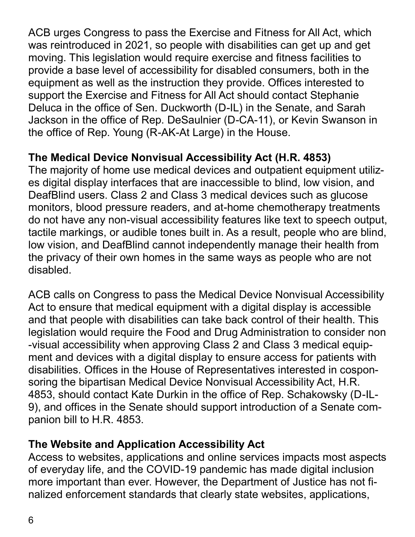ACB urges Congress to pass the Exercise and Fitness for All Act, which was reintroduced in 2021, so people with disabilities can get up and get moving. This legislation would require exercise and fitness facilities to provide a base level of accessibility for disabled consumers, both in the equipment as well as the instruction they provide. Offices interested to support the Exercise and Fitness for All Act should contact Stephanie Deluca in the office of Sen. Duckworth (D-IL) in the Senate, and Sarah Jackson in the office of Rep. DeSaulnier (D-CA-11), or Kevin Swanson in the office of Rep. Young (R-AK-At Large) in the House.

#### **The Medical Device Nonvisual Accessibility Act (H.R. 4853)**

The majority of home use medical devices and outpatient equipment utilizes digital display interfaces that are inaccessible to blind, low vision, and DeafBlind users. Class 2 and Class 3 medical devices such as glucose monitors, blood pressure readers, and at-home chemotherapy treatments do not have any non-visual accessibility features like text to speech output, tactile markings, or audible tones built in. As a result, people who are blind, low vision, and DeafBlind cannot independently manage their health from the privacy of their own homes in the same ways as people who are not disabled.

ACB calls on Congress to pass the Medical Device Nonvisual Accessibility Act to ensure that medical equipment with a digital display is accessible and that people with disabilities can take back control of their health. This legislation would require the Food and Drug Administration to consider non -visual accessibility when approving Class 2 and Class 3 medical equipment and devices with a digital display to ensure access for patients with disabilities. Offices in the House of Representatives interested in cosponsoring the bipartisan Medical Device Nonvisual Accessibility Act, H.R. 4853, should contact Kate Durkin in the office of Rep. Schakowsky (D-IL-9), and offices in the Senate should support introduction of a Senate companion bill to H.R. 4853.

#### **The Website and Application Accessibility Act**

Access to websites, applications and online services impacts most aspects of everyday life, and the COVID-19 pandemic has made digital inclusion more important than ever. However, the Department of Justice has not finalized enforcement standards that clearly state websites, applications,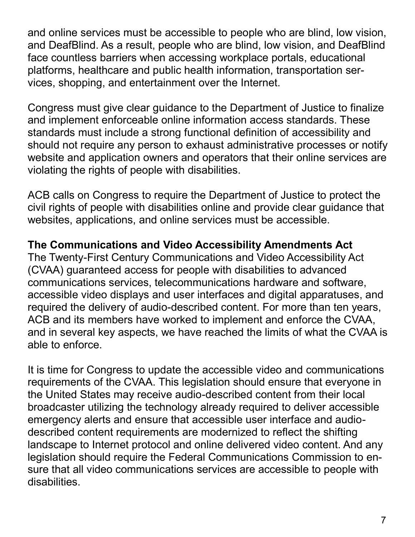and online services must be accessible to people who are blind, low vision, and DeafBlind. As a result, people who are blind, low vision, and DeafBlind face countless barriers when accessing workplace portals, educational platforms, healthcare and public health information, transportation services, shopping, and entertainment over the Internet.

Congress must give clear guidance to the Department of Justice to finalize and implement enforceable online information access standards. These standards must include a strong functional definition of accessibility and should not require any person to exhaust administrative processes or notify website and application owners and operators that their online services are violating the rights of people with disabilities.

ACB calls on Congress to require the Department of Justice to protect the civil rights of people with disabilities online and provide clear guidance that websites, applications, and online services must be accessible.

#### **The Communications and Video Accessibility Amendments Act**

The Twenty-First Century Communications and Video Accessibility Act (CVAA) guaranteed access for people with disabilities to advanced communications services, telecommunications hardware and software, accessible video displays and user interfaces and digital apparatuses, and required the delivery of audio-described content. For more than ten years, ACB and its members have worked to implement and enforce the CVAA, and in several key aspects, we have reached the limits of what the CVAA is able to enforce.

It is time for Congress to update the accessible video and communications requirements of the CVAA. This legislation should ensure that everyone in the United States may receive audio-described content from their local broadcaster utilizing the technology already required to deliver accessible emergency alerts and ensure that accessible user interface and audiodescribed content requirements are modernized to reflect the shifting landscape to Internet protocol and online delivered video content. And any legislation should require the Federal Communications Commission to ensure that all video communications services are accessible to people with disabilities.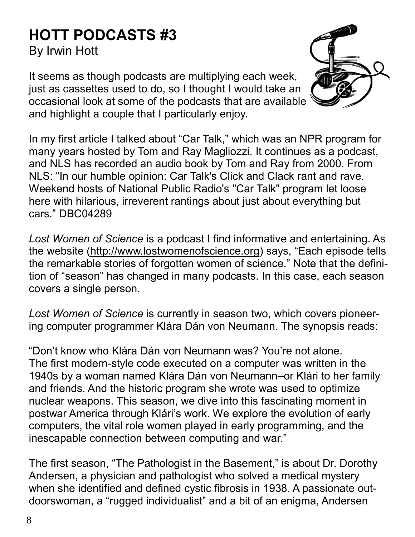# **HOTT PODCASTS #3**

By Irwin Hott

It seems as though podcasts are multiplying each week, just as cassettes used to do, so I thought I would take an occasional look at some of the podcasts that are available and highlight a couple that I particularly enjoy.



*Lost Women of Science* is a podcast I find informative and entertaining. As the website [\(http://www.lostwomenofscience.org\)](http://www.lostwomenofscience.org) says, "Each episode tells the remarkable stories of forgotten women of science." Note that the definition of "season" has changed in many podcasts. In this case, each season covers a single person.

*Lost Women of Science* is currently in season two, which covers pioneering computer programmer Klára Dán von Neumann. The synopsis reads:

"Don't know who Klára Dán von Neumann was? You're not alone. The first modern-style code executed on a computer was written in the 1940s by a woman named Klára Dán von Neumann–or Klári to her family and friends. And the historic program she wrote was used to optimize nuclear weapons. This season, we dive into this fascinating moment in postwar America through Klári's work. We explore the evolution of early computers, the vital role women played in early programming, and the inescapable connection between computing and war."

The first season, "The Pathologist in the Basement," is about Dr. Dorothy Andersen, a physician and pathologist who solved a medical mystery when she identified and defined cystic fibrosis in 1938. A passionate outdoorswoman, a "rugged individualist" and a bit of an enigma, Andersen

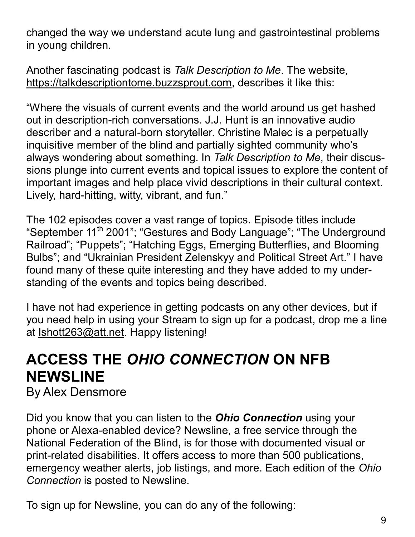changed the way we understand acute lung and gastrointestinal problems in young children.

Another fascinating podcast is *Talk Description to Me*. The website, [https://talkdescriptiontome.buzzsprout.com,](https://talkdescriptiontome.buzzsprout.com) describes it like this:

"Where the visuals of current events and the world around us get hashed out in description-rich conversations. J.J. Hunt is an innovative audio describer and a natural-born storyteller. Christine Malec is a perpetually inquisitive member of the blind and partially sighted community who's always wondering about something. In *Talk Description to Me*, their discussions plunge into current events and topical issues to explore the content of important images and help place vivid descriptions in their cultural context. Lively, hard-hitting, witty, vibrant, and fun."

The 102 episodes cover a vast range of topics. Episode titles include "September 11<sup>th</sup> 2001"; "Gestures and Body Language"; "The Underground Railroad"; "Puppets"; "Hatching Eggs, Emerging Butterflies, and Blooming Bulbs"; and "Ukrainian President Zelenskyy and Political Street Art." I have found many of these quite interesting and they have added to my understanding of the events and topics being described.

I have not had experience in getting podcasts on any other devices, but if you need help in using your Stream to sign up for a podcast, drop me a line at [Ishott263@att.net.](mailto:Ishott263@att.net) Happy listening!

## **ACCESS THE** *OHIO CONNECTION* **ON NFB NEWSLINE**

By Alex Densmore

Did you know that you can listen to the *Ohio Connection* using your phone or Alexa-enabled device? Newsline, a free service through the National Federation of the Blind, is for those with documented visual or print-related disabilities. It offers access to more than 500 publications, emergency weather alerts, job listings, and more. Each edition of the *Ohio Connection* is posted to Newsline.

To sign up for Newsline, you can do any of the following: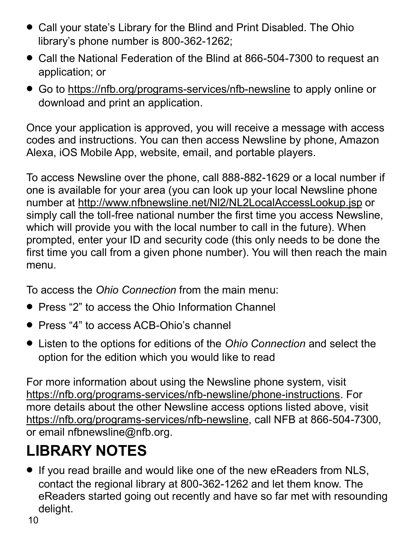- Call your state's Library for the Blind and Print Disabled. The Ohio library's phone number is 800-362-1262;
- Call the National Federation of the Blind at 866-504-7300 to request an application; or
- Go to [https://nfb.org/programs](https://nfb.org/programs-services/nfb-newsline)-services/nfb-newsline to apply online or download and print an application.

Once your application is approved, you will receive a message with access codes and instructions. You can then access Newsline by phone, Amazon Alexa, iOS Mobile App, website, email, and portable players.

To access Newsline over the phone, call 888-882-1629 or a local number if one is available for your area (you can look up your local Newsline phone number at<http://www.nfbnewsline.net/Nl2/NL2LocalAccessLookup.jsp> or simply call the toll-free national number the first time you access Newsline, which will provide you with the local number to call in the future). When prompted, enter your ID and security code (this only needs to be done the first time you call from a given phone number). You will then reach the main menu.

To access the *Ohio Connection* from the main menu:

- Press "2" to access the Ohio Information Channel
- Press "4" to access ACB-Ohio's channel
- Listen to the options for editions of the *Ohio Connection* and select the option for the edition which you would like to read

For more information about using the Newsline phone system, visit [https://nfb.org/programs](https://nfb.org/programs-services/nfb-newsline/phone-instructions)-services/nfb-newsline/phone-instructions. For more details about the other Newsline access options listed above, visit [https://nfb.org/programs](https://nfb.org/programs-services/nfb-newsline)-services/nfb-newsline, call NFB at 866-504-7300, or email nfbnewsline@nfb.org.

# **LIBRARY NOTES**

• If you read braille and would like one of the new eReaders from NLS, contact the regional library at 800-362-1262 and let them know. The eReaders started going out recently and have so far met with resounding delight.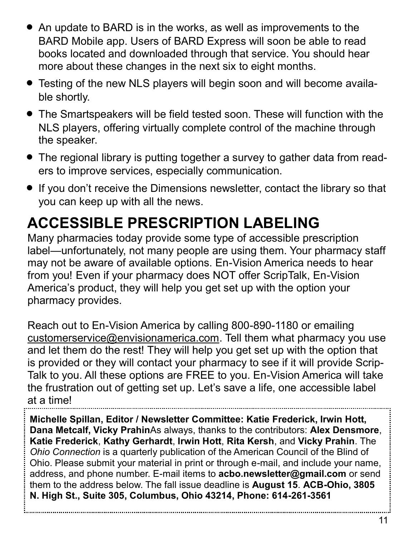- An update to BARD is in the works, as well as improvements to the BARD Mobile app. Users of BARD Express will soon be able to read books located and downloaded through that service. You should hear more about these changes in the next six to eight months.
- Testing of the new NLS players will begin soon and will become available shortly.
- The Smartspeakers will be field tested soon. These will function with the NLS players, offering virtually complete control of the machine through the speaker.
- The regional library is putting together a survey to gather data from readers to improve services, especially communication.
- If you don't receive the Dimensions newsletter, contact the library so that you can keep up with all the news.

# **ACCESSIBLE PRESCRIPTION LABELING**

Many pharmacies today provide some type of accessible prescription label—unfortunately, not many people are using them. Your pharmacy staff may not be aware of available options. En-Vision America needs to hear from you! Even if your pharmacy does NOT offer ScripTalk, En-Vision America's product, they will help you get set up with the option your pharmacy provides.

Reach out to En-Vision America by calling 800-890-1180 or emailing [customerservice@envisionamerica.com.](mailto:customerservice@envisionamerica.com) Tell them what pharmacy you use and let them do the rest! They will help you get set up with the option that is provided or they will contact your pharmacy to see if it will provide Scrip-Talk to you. All these options are FREE to you. En-Vision America will take the frustration out of getting set up. Let's save a life, one accessible label at a time!

**Michelle Spillan, Editor / Newsletter Committee: Katie Frederick, Irwin Hott, Dana Metcalf, Vicky Prahin**As always, thanks to the contributors: **Alex Densmore**, **Katie Frederick**, **Kathy Gerhardt**, **Irwin Hott**, **Rita Kersh**, and **Vicky Prahin**. The *Ohio Connection* is a quarterly publication of the American Council of the Blind of Ohio. Please submit your material in print or through e-mail, and include your name, address, and phone number. E-mail items to **acbo.newsletter@gmail.com** or send them to the address below. The fall issue deadline is **August 15**. **ACB-Ohio, 3805 N. High St., Suite 305, Columbus, Ohio 43214, Phone: 614-261-3561**